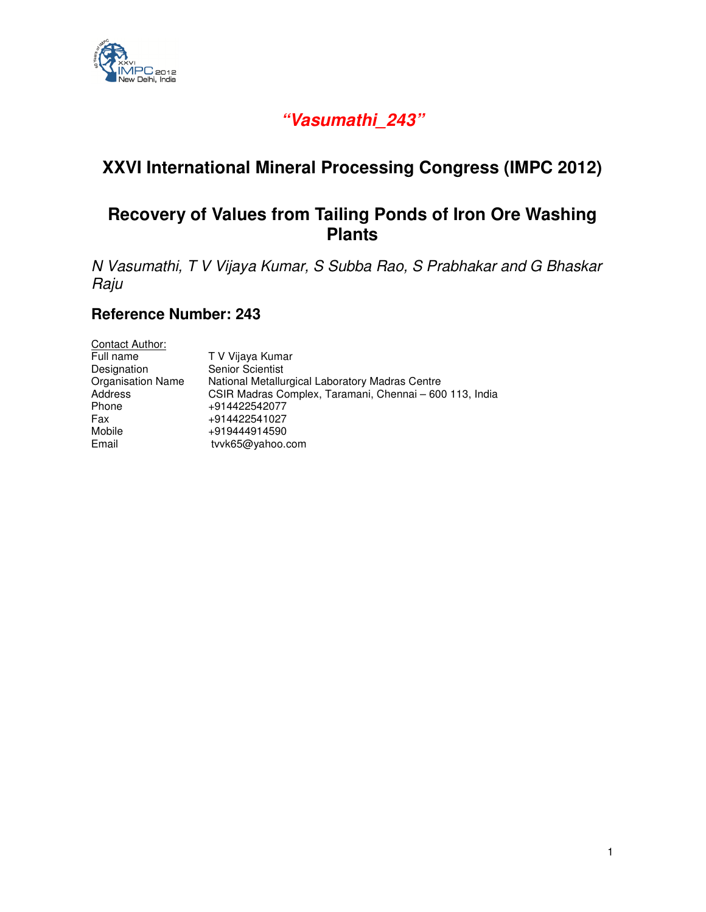

# **"Vasumathi\_243"**

# **XXVI International Mineral Processing Congress (IMPC 2012)**

# **Recovery of Values from Tailing Ponds of Iron Ore Washing Plants**

N Vasumathi, T V Vijaya Kumar, S Subba Rao, S Prabhakar and G Bhaskar Raju

## **Reference Number: 243**

| Contact Author:          |                                                         |
|--------------------------|---------------------------------------------------------|
| Full name                | T V Vijaya Kumar                                        |
| Designation              | <b>Senior Scientist</b>                                 |
| <b>Organisation Name</b> | National Metallurgical Laboratory Madras Centre         |
| Address                  | CSIR Madras Complex, Taramani, Chennai - 600 113, India |
| Phone                    | +914422542077                                           |
| Fax                      | +914422541027                                           |
| Mobile                   | +919444914590                                           |
| Email                    | tvvk65@yahoo.com                                        |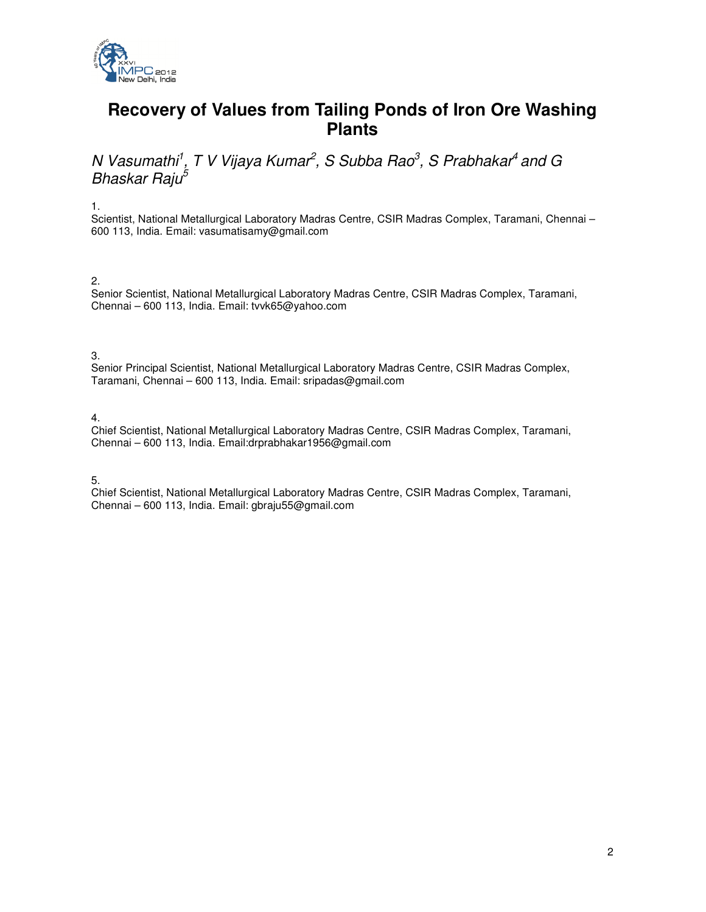

# **Recovery of Values from Tailing Ponds of Iron Ore Washing Plants**

N Vasumathi<sup>1</sup>, T V Vijaya Kumar<sup>2</sup>, S Subba Rao<sup>3</sup>, S Prabhakar<sup>4</sup> and G Bhaskar Raju<sup>5</sup>

1.

Scientist, National Metallurgical Laboratory Madras Centre, CSIR Madras Complex, Taramani, Chennai – 600 113, India. Email: vasumatisamy@gmail.com

#### 2.

Senior Scientist, National Metallurgical Laboratory Madras Centre, CSIR Madras Complex, Taramani, Chennai – 600 113, India. Email: tvvk65@yahoo.com

3.

Senior Principal Scientist, National Metallurgical Laboratory Madras Centre, CSIR Madras Complex, Taramani, Chennai – 600 113, India. Email: sripadas@gmail.com

4.

Chief Scientist, National Metallurgical Laboratory Madras Centre, CSIR Madras Complex, Taramani, Chennai – 600 113, India. Email:drprabhakar1956@gmail.com

5.

Chief Scientist, National Metallurgical Laboratory Madras Centre, CSIR Madras Complex, Taramani, Chennai – 600 113, India. Email: gbraju55@gmail.com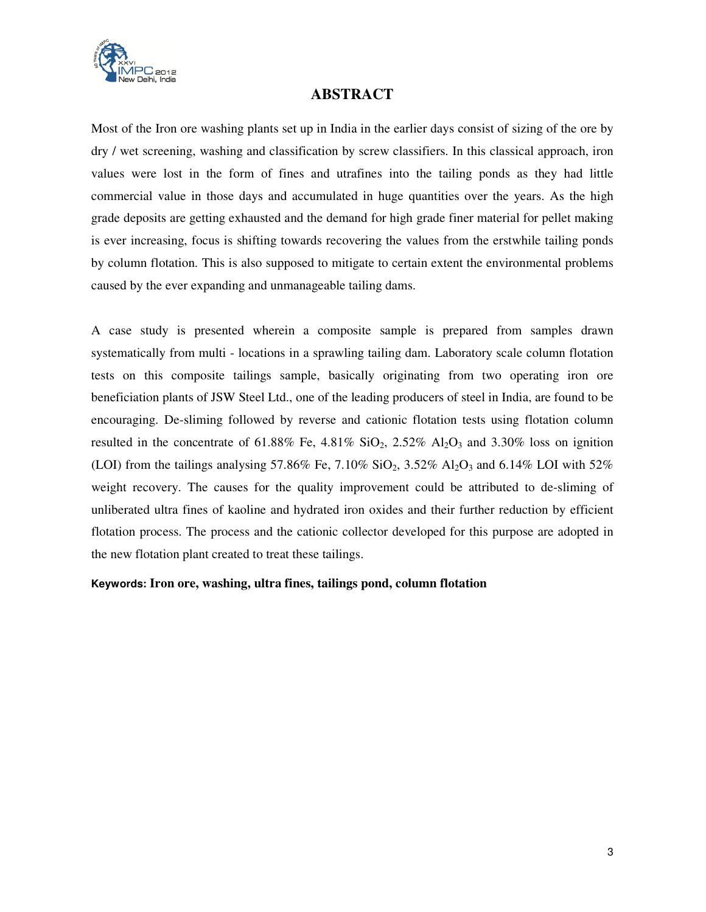

### **ABSTRACT**

Most of the Iron ore washing plants set up in India in the earlier days consist of sizing of the ore by dry / wet screening, washing and classification by screw classifiers. In this classical approach, iron values were lost in the form of fines and utrafines into the tailing ponds as they had little commercial value in those days and accumulated in huge quantities over the years. As the high grade deposits are getting exhausted and the demand for high grade finer material for pellet making is ever increasing, focus is shifting towards recovering the values from the erstwhile tailing ponds by column flotation. This is also supposed to mitigate to certain extent the environmental problems caused by the ever expanding and unmanageable tailing dams.

A case study is presented wherein a composite sample is prepared from samples drawn systematically from multi - locations in a sprawling tailing dam. Laboratory scale column flotation tests on this composite tailings sample, basically originating from two operating iron ore beneficiation plants of JSW Steel Ltd., one of the leading producers of steel in India, are found to be encouraging. De-sliming followed by reverse and cationic flotation tests using flotation column resulted in the concentrate of 61.88% Fe, 4.81%  $SiO_2$ , 2.52%  $Al_2O_3$  and 3.30% loss on ignition (LOI) from the tailings analysing 57.86% Fe, 7.10% SiO<sub>2</sub>, 3.52% Al<sub>2</sub>O<sub>3</sub> and 6.14% LOI with 52% weight recovery. The causes for the quality improvement could be attributed to de-sliming of unliberated ultra fines of kaoline and hydrated iron oxides and their further reduction by efficient flotation process. The process and the cationic collector developed for this purpose are adopted in the new flotation plant created to treat these tailings.

#### **Keywords: Iron ore, washing, ultra fines, tailings pond, column flotation**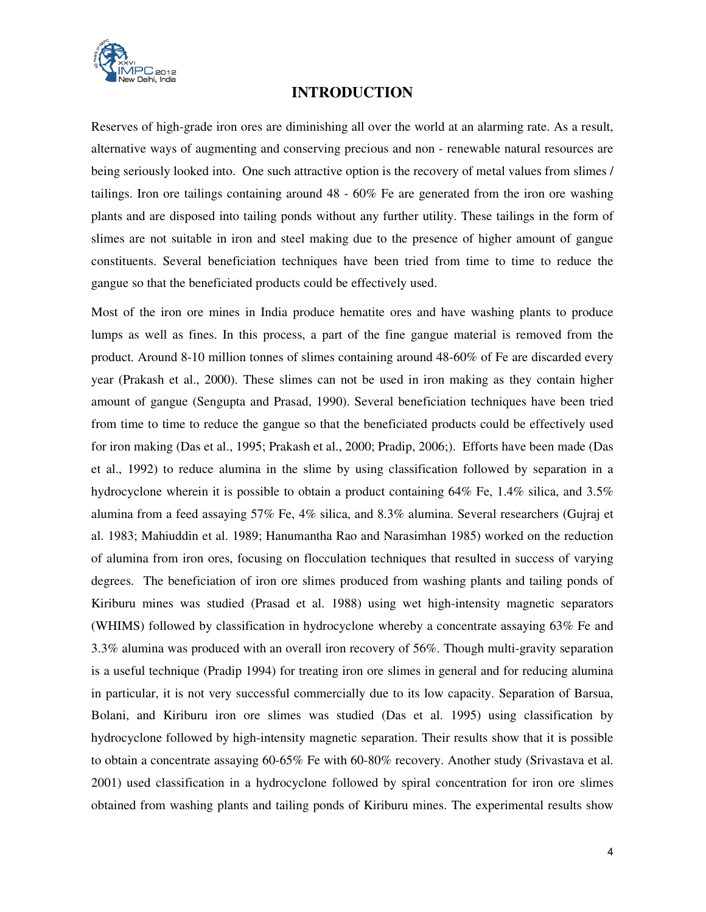

### **INTRODUCTION**

Reserves of high-grade iron ores are diminishing all over the world at an alarming rate. As a result, alternative ways of augmenting and conserving precious and non - renewable natural resources are being seriously looked into. One such attractive option is the recovery of metal values from slimes / tailings. Iron ore tailings containing around 48 - 60% Fe are generated from the iron ore washing plants and are disposed into tailing ponds without any further utility. These tailings in the form of slimes are not suitable in iron and steel making due to the presence of higher amount of gangue constituents. Several beneficiation techniques have been tried from time to time to reduce the gangue so that the beneficiated products could be effectively used.

Most of the iron ore mines in India produce hematite ores and have washing plants to produce lumps as well as fines. In this process, a part of the fine gangue material is removed from the product. Around 8-10 million tonnes of slimes containing around 48-60% of Fe are discarded every year (Prakash et al., 2000). These slimes can not be used in iron making as they contain higher amount of gangue (Sengupta and Prasad, 1990). Several beneficiation techniques have been tried from time to time to reduce the gangue so that the beneficiated products could be effectively used for iron making (Das et al., 1995; Prakash et al., 2000; Pradip, 2006;). Efforts have been made (Das et al., 1992) to reduce alumina in the slime by using classification followed by separation in a hydrocyclone wherein it is possible to obtain a product containing 64% Fe, 1.4% silica, and 3.5% alumina from a feed assaying 57% Fe, 4% silica, and 8.3% alumina. Several researchers (Gujraj et al. 1983; Mahiuddin et al. 1989; Hanumantha Rao and Narasimhan 1985) worked on the reduction of alumina from iron ores, focusing on flocculation techniques that resulted in success of varying degrees. The beneficiation of iron ore slimes produced from washing plants and tailing ponds of Kiriburu mines was studied (Prasad et al. 1988) using wet high-intensity magnetic separators (WHIMS) followed by classification in hydrocyclone whereby a concentrate assaying 63% Fe and 3.3% alumina was produced with an overall iron recovery of 56%. Though multi-gravity separation is a useful technique (Pradip 1994) for treating iron ore slimes in general and for reducing alumina in particular, it is not very successful commercially due to its low capacity. Separation of Barsua, Bolani, and Kiriburu iron ore slimes was studied (Das et al. 1995) using classification by hydrocyclone followed by high-intensity magnetic separation. Their results show that it is possible to obtain a concentrate assaying 60-65% Fe with 60-80% recovery. Another study (Srivastava et al. 2001) used classification in a hydrocyclone followed by spiral concentration for iron ore slimes obtained from washing plants and tailing ponds of Kiriburu mines. The experimental results show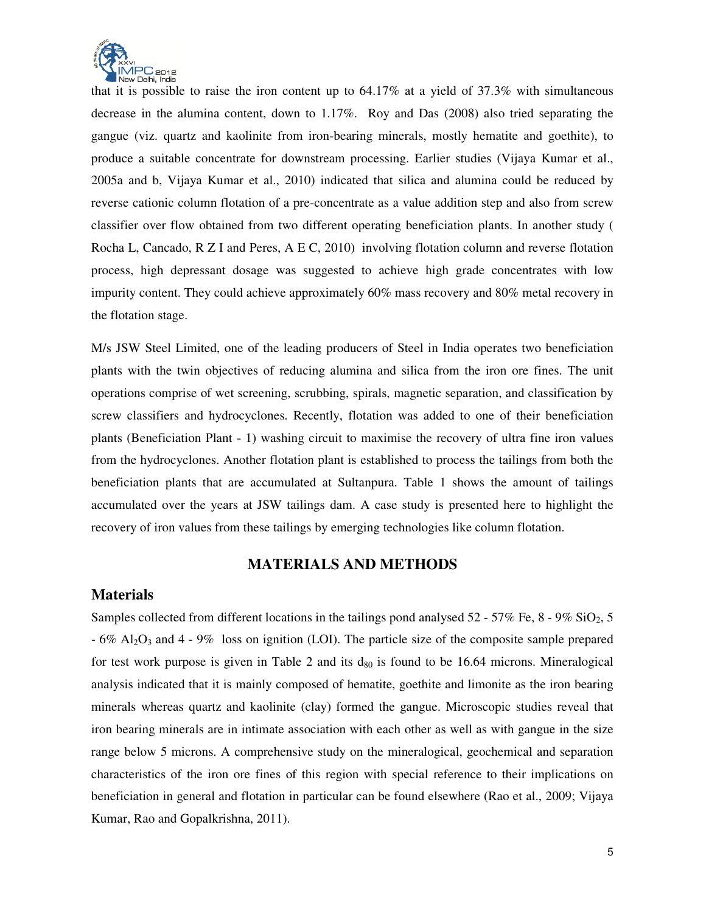

that it is possible to raise the iron content up to  $64.17\%$  at a yield of 37.3% with simultaneous decrease in the alumina content, down to 1.17%. Roy and Das (2008) also tried separating the gangue (viz. quartz and kaolinite from iron-bearing minerals, mostly hematite and goethite), to produce a suitable concentrate for downstream processing. Earlier studies (Vijaya Kumar et al., 2005a and b, Vijaya Kumar et al., 2010) indicated that silica and alumina could be reduced by reverse cationic column flotation of a pre-concentrate as a value addition step and also from screw classifier over flow obtained from two different operating beneficiation plants. In another study ( Rocha L, Cancado, R Z I and Peres, A E C, 2010) involving flotation column and reverse flotation process, high depressant dosage was suggested to achieve high grade concentrates with low impurity content. They could achieve approximately 60% mass recovery and 80% metal recovery in the flotation stage.

M/s JSW Steel Limited, one of the leading producers of Steel in India operates two beneficiation plants with the twin objectives of reducing alumina and silica from the iron ore fines. The unit operations comprise of wet screening, scrubbing, spirals, magnetic separation, and classification by screw classifiers and hydrocyclones. Recently, flotation was added to one of their beneficiation plants (Beneficiation Plant - 1) washing circuit to maximise the recovery of ultra fine iron values from the hydrocyclones. Another flotation plant is established to process the tailings from both the beneficiation plants that are accumulated at Sultanpura. Table 1 shows the amount of tailings accumulated over the years at JSW tailings dam. A case study is presented here to highlight the recovery of iron values from these tailings by emerging technologies like column flotation.

#### **MATERIALS AND METHODS**

#### **Materials**

Samples collected from different locations in the tailings pond analysed  $52 - 57\%$  Fe,  $8 - 9\%$  SiO<sub>2</sub>, 5  $-6\%$  Al<sub>2</sub>O<sub>3</sub> and 4 - 9% loss on ignition (LOI). The particle size of the composite sample prepared for test work purpose is given in Table 2 and its  $d_{80}$  is found to be 16.64 microns. Mineralogical analysis indicated that it is mainly composed of hematite, goethite and limonite as the iron bearing minerals whereas quartz and kaolinite (clay) formed the gangue. Microscopic studies reveal that iron bearing minerals are in intimate association with each other as well as with gangue in the size range below 5 microns. A comprehensive study on the mineralogical, geochemical and separation characteristics of the iron ore fines of this region with special reference to their implications on beneficiation in general and flotation in particular can be found elsewhere (Rao et al., 2009; Vijaya Kumar, Rao and Gopalkrishna, 2011).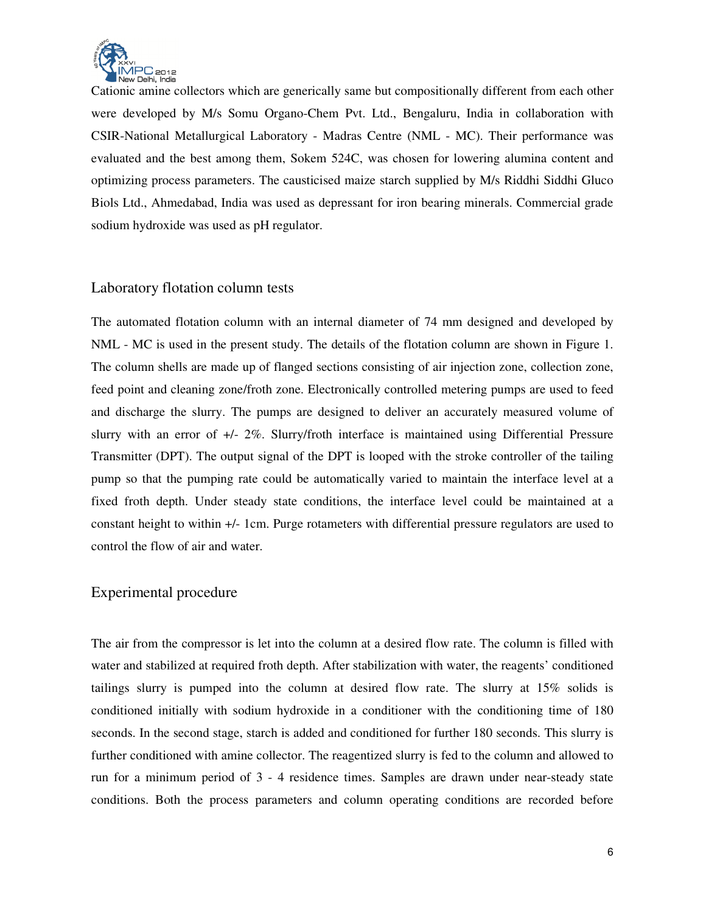

Cationic amine collectors which are generically same but compositionally different from each other were developed by M/s Somu Organo-Chem Pvt. Ltd., Bengaluru, India in collaboration with CSIR-National Metallurgical Laboratory - Madras Centre (NML - MC). Their performance was evaluated and the best among them, Sokem 524C, was chosen for lowering alumina content and optimizing process parameters. The causticised maize starch supplied by M/s Riddhi Siddhi Gluco Biols Ltd., Ahmedabad, India was used as depressant for iron bearing minerals. Commercial grade sodium hydroxide was used as pH regulator.

#### Laboratory flotation column tests

The automated flotation column with an internal diameter of 74 mm designed and developed by NML - MC is used in the present study. The details of the flotation column are shown in Figure 1. The column shells are made up of flanged sections consisting of air injection zone, collection zone, feed point and cleaning zone/froth zone. Electronically controlled metering pumps are used to feed and discharge the slurry. The pumps are designed to deliver an accurately measured volume of slurry with an error of +/- 2%. Slurry/froth interface is maintained using Differential Pressure Transmitter (DPT). The output signal of the DPT is looped with the stroke controller of the tailing pump so that the pumping rate could be automatically varied to maintain the interface level at a fixed froth depth. Under steady state conditions, the interface level could be maintained at a constant height to within +/- 1cm. Purge rotameters with differential pressure regulators are used to control the flow of air and water.

#### Experimental procedure

The air from the compressor is let into the column at a desired flow rate. The column is filled with water and stabilized at required froth depth. After stabilization with water, the reagents' conditioned tailings slurry is pumped into the column at desired flow rate. The slurry at 15% solids is conditioned initially with sodium hydroxide in a conditioner with the conditioning time of 180 seconds. In the second stage, starch is added and conditioned for further 180 seconds. This slurry is further conditioned with amine collector. The reagentized slurry is fed to the column and allowed to run for a minimum period of 3 - 4 residence times. Samples are drawn under near-steady state conditions. Both the process parameters and column operating conditions are recorded before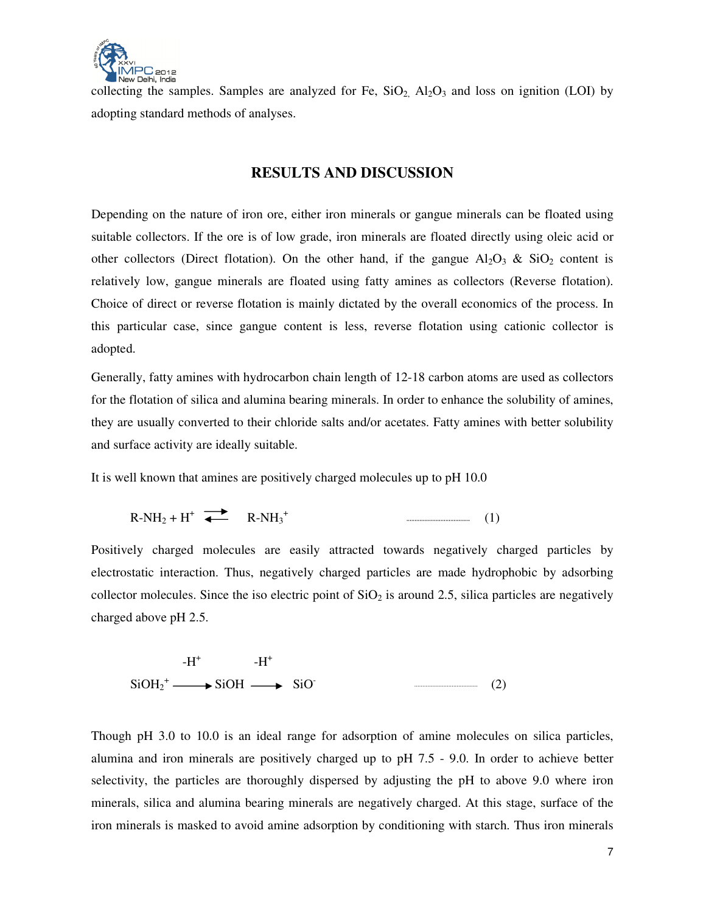

collecting the samples. Samples are analyzed for Fe,  $SiO<sub>2</sub>$ ,  $Al<sub>2</sub>O<sub>3</sub>$  and loss on ignition (LOI) by adopting standard methods of analyses.

### **RESULTS AND DISCUSSION**

Depending on the nature of iron ore, either iron minerals or gangue minerals can be floated using suitable collectors. If the ore is of low grade, iron minerals are floated directly using oleic acid or other collectors (Direct flotation). On the other hand, if the gangue  $Al_2O_3$  &  $SiO_2$  content is relatively low, gangue minerals are floated using fatty amines as collectors (Reverse flotation). Choice of direct or reverse flotation is mainly dictated by the overall economics of the process. In this particular case, since gangue content is less, reverse flotation using cationic collector is adopted.

Generally, fatty amines with hydrocarbon chain length of 12-18 carbon atoms are used as collectors for the flotation of silica and alumina bearing minerals. In order to enhance the solubility of amines, they are usually converted to their chloride salts and/or acetates. Fatty amines with better solubility and surface activity are ideally suitable.

It is well known that amines are positively charged molecules up to pH 10.0

$$
R-NH_2 + H^+ \stackrel{\longrightarrow}{\longrightarrow} R-NH_3^+ \tag{1}
$$

Positively charged molecules are easily attracted towards negatively charged particles by electrostatic interaction. Thus, negatively charged particles are made hydrophobic by adsorbing collector molecules. Since the iso electric point of  $SiO<sub>2</sub>$  is around 2.5, silica particles are negatively charged above pH 2.5.

$$
-H^{+} \longrightarrow H^{+}
$$
  
SiOH  $\longrightarrow$  SiO<sup>+</sup> (2)

Though pH 3.0 to 10.0 is an ideal range for adsorption of amine molecules on silica particles, alumina and iron minerals are positively charged up to pH 7.5 - 9.0. In order to achieve better selectivity, the particles are thoroughly dispersed by adjusting the pH to above 9.0 where iron minerals, silica and alumina bearing minerals are negatively charged. At this stage, surface of the iron minerals is masked to avoid amine adsorption by conditioning with starch. Thus iron minerals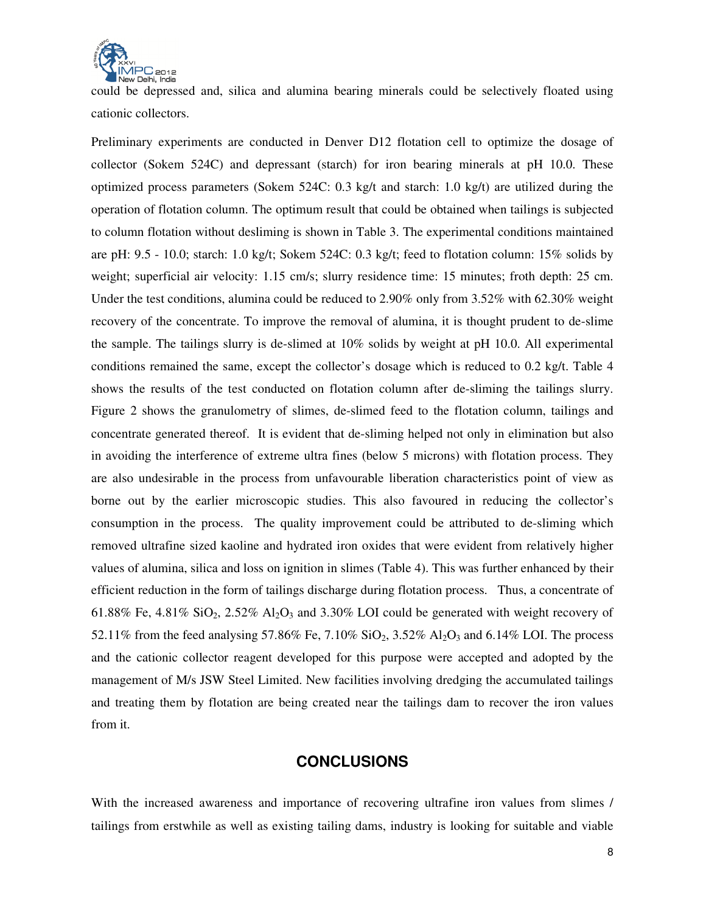

could be depressed and, silica and alumina bearing minerals could be selectively floated using cationic collectors.

Preliminary experiments are conducted in Denver D12 flotation cell to optimize the dosage of collector (Sokem 524C) and depressant (starch) for iron bearing minerals at pH 10.0. These optimized process parameters (Sokem 524C: 0.3 kg/t and starch: 1.0 kg/t) are utilized during the operation of flotation column. The optimum result that could be obtained when tailings is subjected to column flotation without desliming is shown in Table 3. The experimental conditions maintained are pH: 9.5 - 10.0; starch: 1.0 kg/t; Sokem 524C: 0.3 kg/t; feed to flotation column: 15% solids by weight; superficial air velocity: 1.15 cm/s; slurry residence time: 15 minutes; froth depth: 25 cm. Under the test conditions, alumina could be reduced to 2.90% only from 3.52% with 62.30% weight recovery of the concentrate. To improve the removal of alumina, it is thought prudent to de-slime the sample. The tailings slurry is de-slimed at 10% solids by weight at pH 10.0. All experimental conditions remained the same, except the collector's dosage which is reduced to 0.2 kg/t. Table 4 shows the results of the test conducted on flotation column after de-sliming the tailings slurry. Figure 2 shows the granulometry of slimes, de-slimed feed to the flotation column, tailings and concentrate generated thereof. It is evident that de-sliming helped not only in elimination but also in avoiding the interference of extreme ultra fines (below 5 microns) with flotation process. They are also undesirable in the process from unfavourable liberation characteristics point of view as borne out by the earlier microscopic studies. This also favoured in reducing the collector's consumption in the process. The quality improvement could be attributed to de-sliming which removed ultrafine sized kaoline and hydrated iron oxides that were evident from relatively higher values of alumina, silica and loss on ignition in slimes (Table 4). This was further enhanced by their efficient reduction in the form of tailings discharge during flotation process. Thus, a concentrate of 61.88% Fe, 4.81% SiO<sub>2</sub>, 2.52% Al<sub>2</sub>O<sub>3</sub> and 3.30% LOI could be generated with weight recovery of 52.11% from the feed analysing 57.86% Fe, 7.10%  $SiO_2$ , 3.52%  $Al_2O_3$  and 6.14% LOI. The process and the cationic collector reagent developed for this purpose were accepted and adopted by the management of M/s JSW Steel Limited. New facilities involving dredging the accumulated tailings and treating them by flotation are being created near the tailings dam to recover the iron values from it.

### **CONCLUSIONS**

With the increased awareness and importance of recovering ultrafine iron values from slimes / tailings from erstwhile as well as existing tailing dams, industry is looking for suitable and viable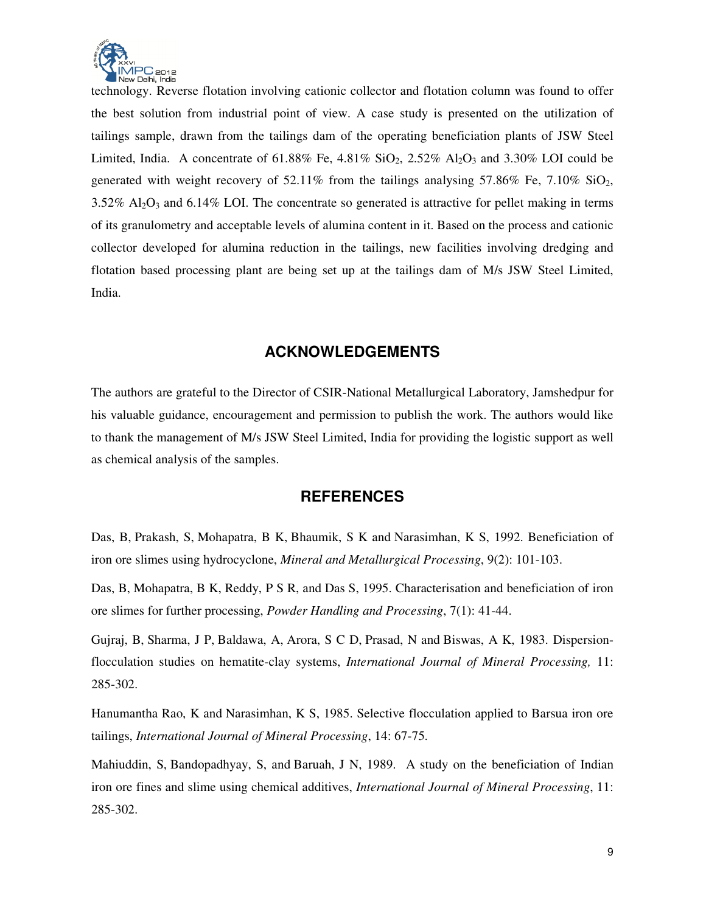

technology. Reverse flotation involving cationic collector and flotation column was found to offer the best solution from industrial point of view. A case study is presented on the utilization of tailings sample, drawn from the tailings dam of the operating beneficiation plants of JSW Steel Limited, India. A concentrate of  $61.88\%$  Fe,  $4.81\%$  SiO<sub>2</sub>,  $2.52\%$  Al<sub>2</sub>O<sub>3</sub> and  $3.30\%$  LOI could be generated with weight recovery of  $52.11\%$  from the tailings analysing  $57.86\%$  Fe,  $7.10\%$  SiO<sub>2</sub>,  $3.52\%$  Al<sub>2</sub>O<sub>3</sub> and 6.14% LOI. The concentrate so generated is attractive for pellet making in terms of its granulometry and acceptable levels of alumina content in it. Based on the process and cationic collector developed for alumina reduction in the tailings, new facilities involving dredging and flotation based processing plant are being set up at the tailings dam of M/s JSW Steel Limited, India.

## **ACKNOWLEDGEMENTS**

The authors are grateful to the Director of CSIR-National Metallurgical Laboratory, Jamshedpur for his valuable guidance, encouragement and permission to publish the work. The authors would like to thank the management of M/s JSW Steel Limited, India for providing the logistic support as well as chemical analysis of the samples.

### **REFERENCES**

Das, B, Prakash, S, Mohapatra, B K, Bhaumik, S K and Narasimhan, K S, 1992. Beneficiation of iron ore slimes using hydrocyclone, *Mineral and Metallurgical Processing*, 9(2): 101-103.

Das, B, Mohapatra, B K, Reddy, P S R, and Das S, 1995. Characterisation and beneficiation of iron ore slimes for further processing, *Powder Handling and Processing*, 7(1): 41-44.

Gujraj, B, Sharma, J P, Baldawa, A, Arora, S C D, Prasad, N and Biswas, A K, 1983. Dispersionflocculation studies on hematite-clay systems, *International Journal of Mineral Processing,* 11: 285-302.

Hanumantha Rao, K and Narasimhan, K S, 1985. Selective flocculation applied to Barsua iron ore tailings, *International Journal of Mineral Processing*, 14: 67-75.

Mahiuddin, S, Bandopadhyay, S, and Baruah, J N, 1989. A study on the beneficiation of Indian iron ore fines and slime using chemical additives, *International Journal of Mineral Processing*, 11: 285-302.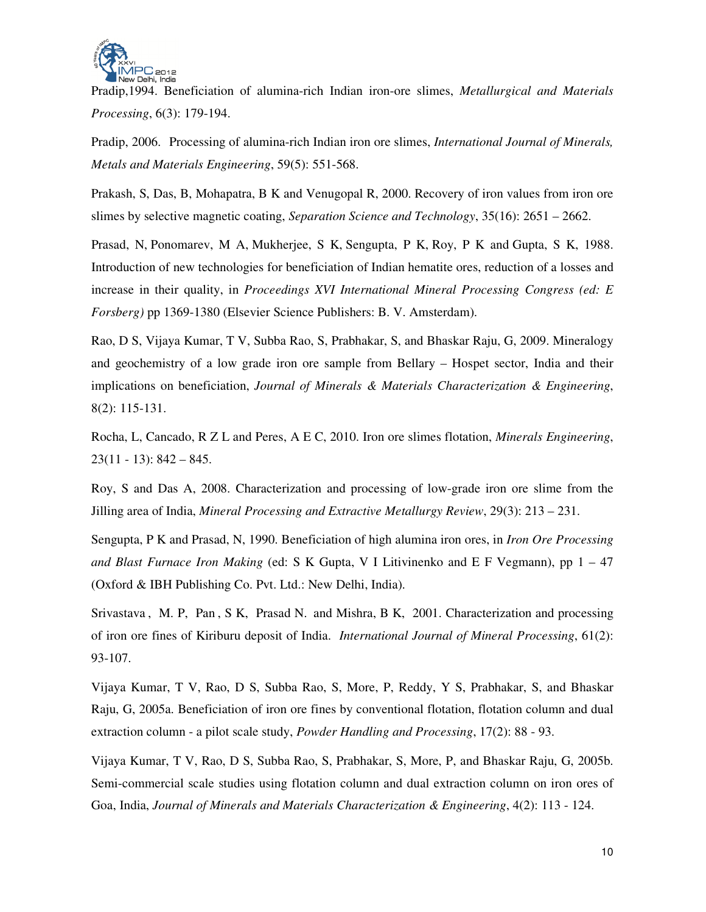

Pradip,1994. Beneficiation of alumina-rich Indian iron-ore slimes, *Metallurgical and Materials Processing*, 6(3): 179-194.

Pradip, 2006. Processing of alumina-rich Indian iron ore slimes, *International Journal of Minerals, Metals and Materials Engineering*, 59(5): 551-568.

Prakash, S, Das, B, Mohapatra, B K and Venugopal R, 2000. Recovery of iron values from iron ore slimes by selective magnetic coating, *Separation Science and Technology*, 35(16): 2651 – 2662.

Prasad, N, Ponomarev, M A, Mukherjee, S K, Sengupta, P K, Roy, P K and Gupta, S K, 1988. Introduction of new technologies for beneficiation of Indian hematite ores, reduction of a losses and increase in their quality, in *Proceedings XVI International Mineral Processing Congress (ed: E Forsberg)* pp 1369-1380 (Elsevier Science Publishers: B. V. Amsterdam).

Rao, D S, Vijaya Kumar, T V, Subba Rao, S, Prabhakar, S, and Bhaskar Raju, G, 2009. Mineralogy and geochemistry of a low grade iron ore sample from Bellary – Hospet sector, India and their implications on beneficiation, *Journal of Minerals & Materials Characterization & Engineering*, 8(2): 115-131.

Rocha, L, Cancado, R Z L and Peres, A E C, 2010. Iron ore slimes flotation, *Minerals Engineering*,  $23(11 - 13)$ :  $842 - 845$ .

Roy, S and Das A, 2008. Characterization and processing of low-grade iron ore slime from the Jilling area of India, *Mineral Processing and Extractive Metallurgy Review*, 29(3): 213 – 231.

Sengupta, P K and Prasad, N, 1990. Beneficiation of high alumina iron ores, in *Iron Ore Processing and Blast Furnace Iron Making* (ed: S K Gupta, V I Litivinenko and E F Vegmann), pp 1 – 47 (Oxford & IBH Publishing Co. Pvt. Ltd.: New Delhi, India).

Srivastava , M. P, Pan , S K, Prasad N. and Mishra, B K, 2001. Characterization and processing of iron ore fines of Kiriburu deposit of India. *International Journal of Mineral Processing*, 61(2): 93-107.

Vijaya Kumar, T V, Rao, D S, Subba Rao, S, More, P, Reddy, Y S, Prabhakar, S, and Bhaskar Raju, G, 2005a. Beneficiation of iron ore fines by conventional flotation, flotation column and dual extraction column - a pilot scale study, *Powder Handling and Processing*, 17(2): 88 - 93.

Vijaya Kumar, T V, Rao, D S, Subba Rao, S, Prabhakar, S, More, P, and Bhaskar Raju, G, 2005b. Semi-commercial scale studies using flotation column and dual extraction column on iron ores of Goa, India, *Journal of Minerals and Materials Characterization & Engineering*, 4(2): 113 - 124.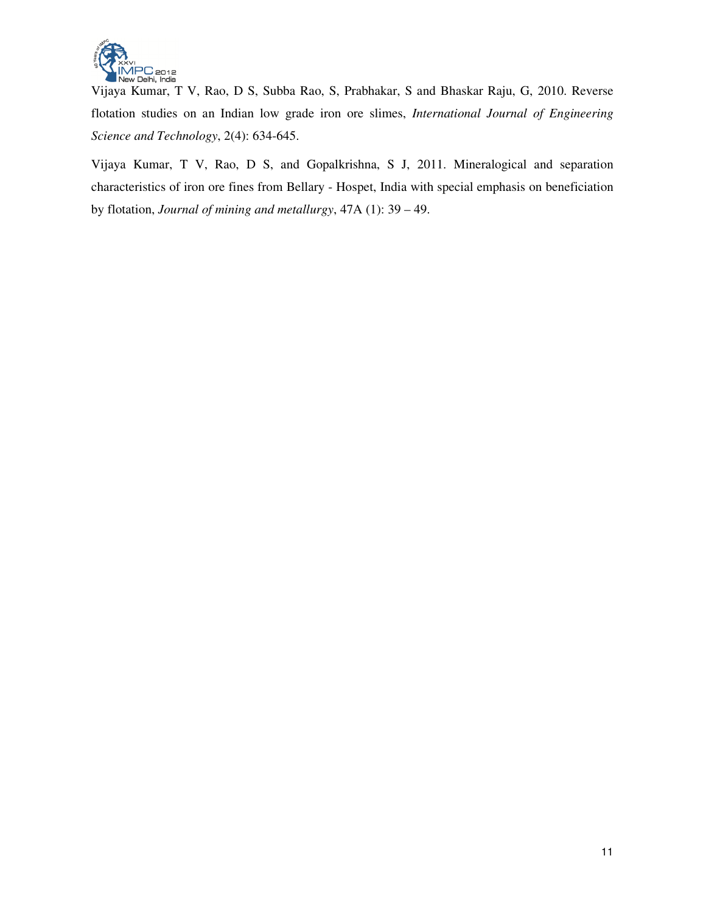

Vijaya Kumar, T V, Rao, D S, Subba Rao, S, Prabhakar, S and Bhaskar Raju, G, 2010. Reverse flotation studies on an Indian low grade iron ore slimes, *International Journal of Engineering Science and Technology*, 2(4): 634-645.

Vijaya Kumar, T V, Rao, D S, and Gopalkrishna, S J, 2011. Mineralogical and separation characteristics of iron ore fines from Bellary - Hospet, India with special emphasis on beneficiation by flotation, *Journal of mining and metallurgy*, 47A (1): 39 – 49.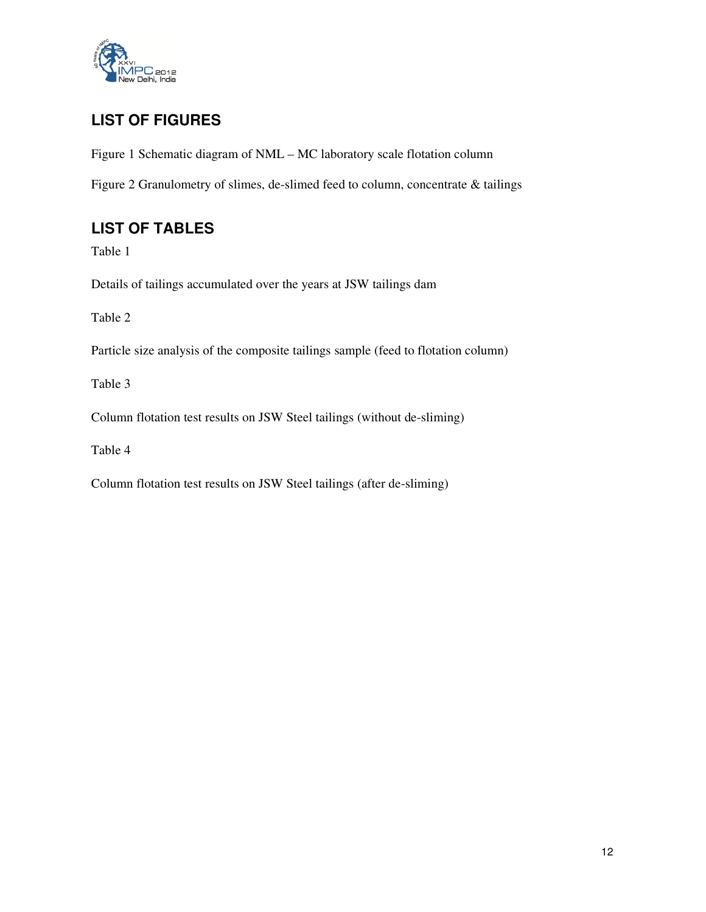

# **LIST OF FIGURES**

Figure 1 Schematic diagram of NML – MC laboratory scale flotation column

Figure 2 Granulometry of slimes, de-slimed feed to column, concentrate & tailings

# **LIST OF TABLES**

Table 1

Details of tailings accumulated over the years at JSW tailings dam

Table 2

Particle size analysis of the composite tailings sample (feed to flotation column)

Table 3

Column flotation test results on JSW Steel tailings (without de-sliming)

Table 4

Column flotation test results on JSW Steel tailings (after de-sliming)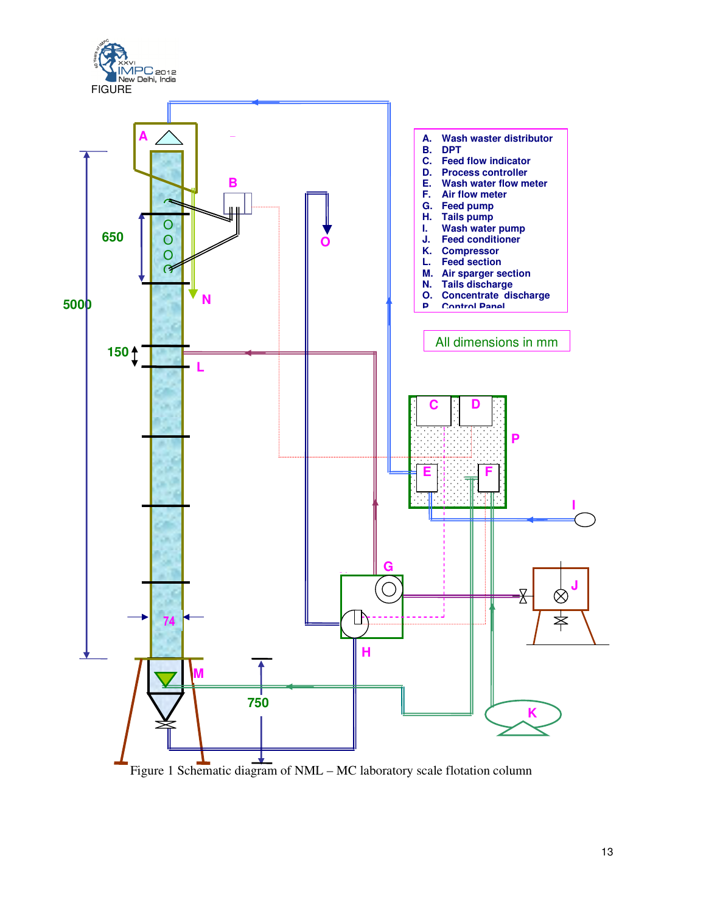

Figure 1 Schematic diagram of NML – MC laboratory scale flotation column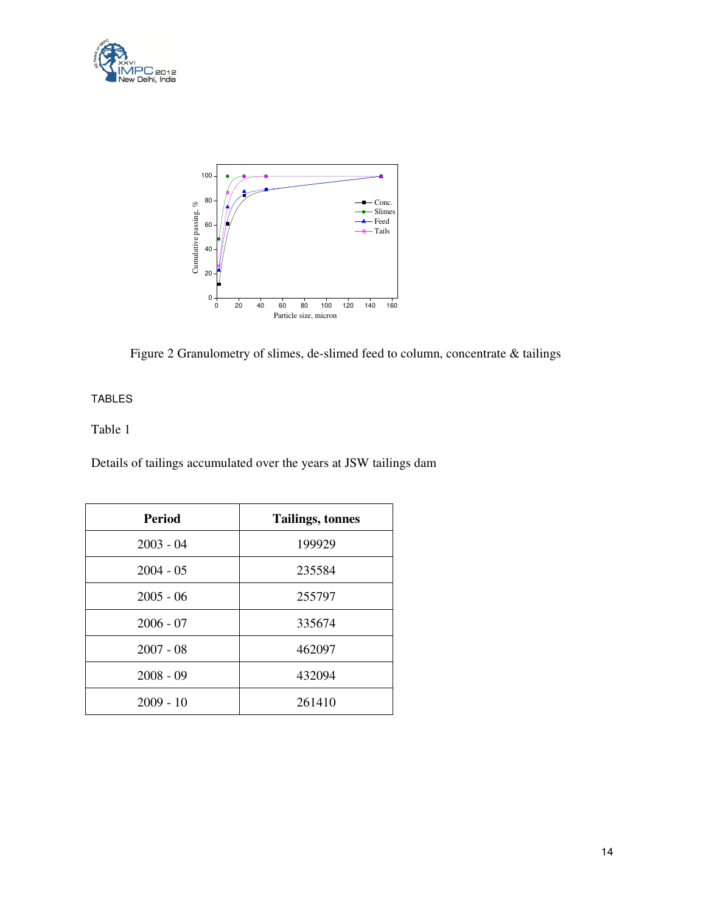



Figure 2 Granulometry of slimes, de-slimed feed to column, concentrate & tailings

### TABLES

### Table 1

Details of tailings accumulated over the years at JSW tailings dam

| <b>Period</b> | <b>Tailings, tonnes</b> |
|---------------|-------------------------|
| $2003 - 04$   | 199929                  |
| $2004 - 05$   | 235584                  |
| $2005 - 06$   | 255797                  |
| $2006 - 07$   | 335674                  |
| $2007 - 08$   | 462097                  |
| $2008 - 09$   | 432094                  |
| $2009 - 10$   | 261410                  |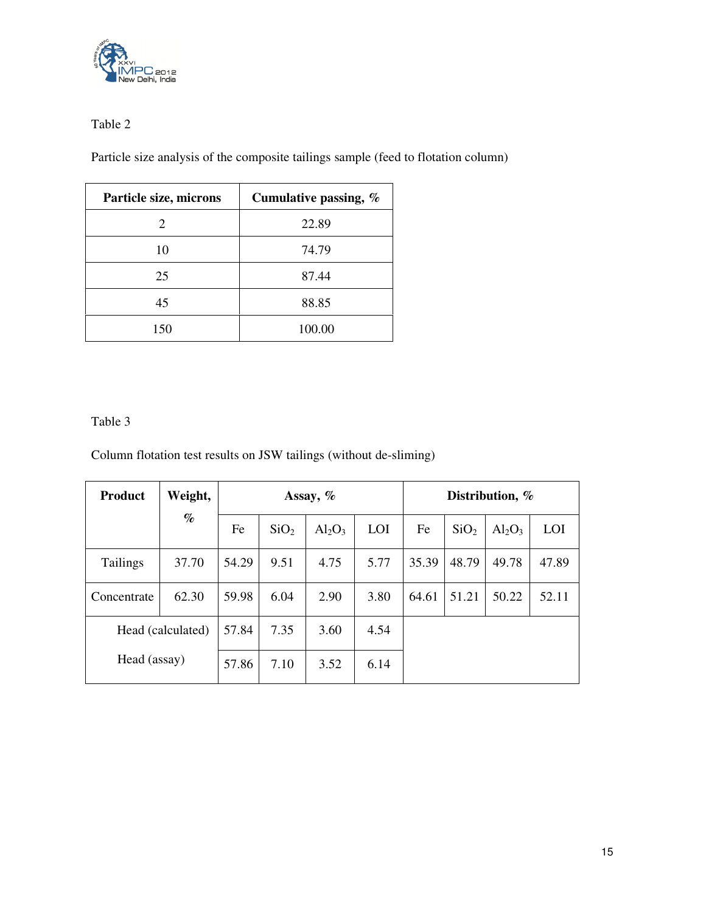

## Table 2

Particle size analysis of the composite tailings sample (feed to flotation column)

| Particle size, microns | Cumulative passing, % |
|------------------------|-----------------------|
| 2                      | 22.89                 |
| 10                     | 74.79                 |
| 25                     | 87.44                 |
| 45                     | 88.85                 |
| 150                    | 100.00                |

## Table 3

Column flotation test results on JSW tailings (without de-sliming)

| <b>Product</b>  | Weight,           | Assay, $%$ |                  |           |            | Distribution, % |                  |           |       |
|-----------------|-------------------|------------|------------------|-----------|------------|-----------------|------------------|-----------|-------|
|                 | $\%$              | Fe         | SiO <sub>2</sub> | $Al_2O_3$ | <b>LOI</b> | Fe              | SiO <sub>2</sub> | $Al_2O_3$ | LOI   |
| <b>Tailings</b> | 37.70             | 54.29      | 9.51             | 4.75      | 5.77       | 35.39           | 48.79            | 49.78     | 47.89 |
| Concentrate     | 62.30             | 59.98      | 6.04             | 2.90      | 3.80       | 64.61           | 51.21            | 50.22     | 52.11 |
|                 | Head (calculated) | 57.84      | 7.35             | 3.60      | 4.54       |                 |                  |           |       |
| Head (assay)    |                   | 57.86      | 7.10             | 3.52      | 6.14       |                 |                  |           |       |